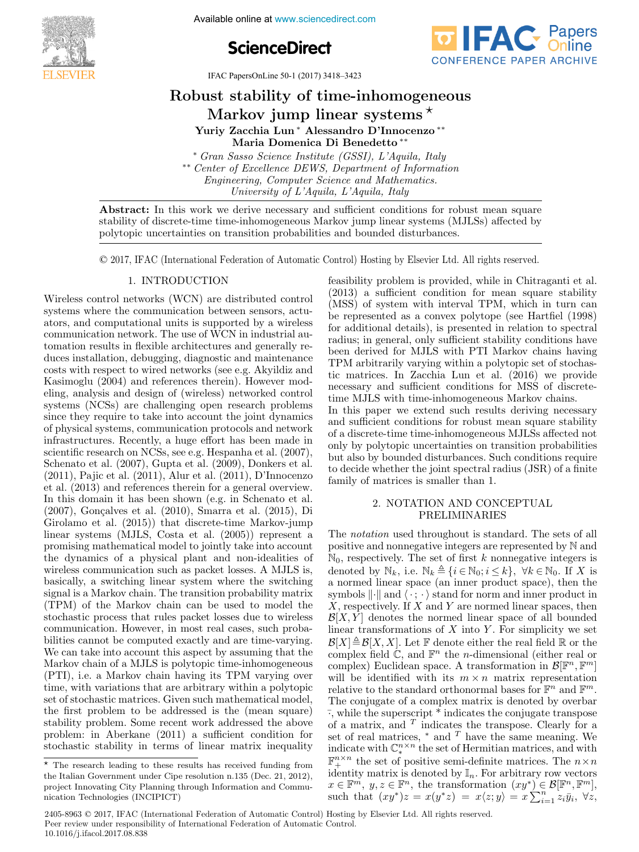

Available online at www.sciencedirect.com





IFAC PapersOnLine 50-1 (2017) 3418-3423

polytopic uncertainties on transition probabilities and bounded disturbances.

# $\frac{1}{2}$ Robust stability of time-inhomogeneous yust stabinty or time-innomogene<br>Markov jump linear systems\* yust stabinty of time-innomogene<br>Markov jump linear systems <sup>∗</sup>

Yuriy Zacchia Lun ∗ Alessandro D'Innocenzo ∗∗ Maria Domenica Di Benedetto ∗∗ Maria Domenica Di Benedetto ∗∗ Yuriy Zacchia Lun ∗ Alessandro D'Innocenzo ∗∗ Yuriy Zacchia Lun ∗ Alessandro D'Innocenzo ∗∗ Maria Domenica Di Benedetto ∗∗ ∗ Gran Sasso Science Institute (GSSI), L'Aquila, Italy Maria Domenica Di Benedetto ∗∗ Maria Domenica Di Benedetto ∗∗

\*\* Center of Excellence DEWS, Department of Information  $Engineering, Computer Science and Mathematics.$ University of L'Aquila, L'Aquila, Italy ∗ Gran Sasso Science Institute (GSSI), L'Aquila, Italy ∗ Gran Sasso Science Institute (GSSI), L'Aquila, Italy<br>∗ Gran Sasso Science Institute (GSSI), L'Aquila, Italy

University of L'Aquila, Italy polytopic uncertainties on transition probabilities and bounded disturbances. stability of discrete-time-inhomogeneous Markov jump linear systems (MJLSS) affected by  $\mathcal{L}$ Abstract: In this work we derive necessary and sufficient conditions for robust mean square stability of discrete-time time-inhomogeneous Markov jump linear systems (MJLSs) affected by derive necessary and sufficient condit stability of discrete-time-inhomogeneous Markov jump linear systems ( $M_{\rm H}$ 

 $\odot$  2017, IFAC (International Federation of Automatic Control) Hosting by Elsevier Ltd. All rights reserved.  $\odot$  2017, IFAC (International Federation of Automatic Control) Hosting by Elsevier Ltd.

#### 1. INTRODUCTION  $\overline{1}$ . INTERCRETATION 1. INTRODUCTION 1. INTRODUCTION

Wireless control networks (WCN) are distributed control systems where the communication between sensors, actuators, and computational units is supported by a wireless communication network. The use of WCN in industrial automation results in flexible architectures and generally reduces installation, debugging, diagnostic and maintenance catego meanwhere, designing, and the maintenance Kasimoglu (2004) and references therein). However modeling, analysis and design of (wireless) networked control systems (NCSs) are challenging open research problems since they require to take into account the joint dynamics of physical systems, communication protocols and network infrastructures. Recently, a huge effort has been made in scientific research on NCSs, see e.g. Hespanha et al. (2007), Schenato et al. (2007), Gupta et al. (2009), Donkers et al.  $(2011)$ , Pajic et al.  $(2011)$ , Alur et al.  $(2011)$ , D'Innocenzo<br>et al.  $(2013)$  and references therein for a general overview  $(2011)$ , Pajic et al.  $(2011)$ , Alur et al.  $(2011)$ , D'Innocenzo et al.  $(2013)$  and references therein for a general overview.<br>In this domain it has been shown  $(e.g.$  in Schenato et al. In this domain it has been shown (e.g. in Schenato et al.<br> $(2007)$  Concelves et al.  $(2010)$  Smarra et al.  $(2015)$  Di  $(2007)$ , Gonçalves et al.  $(2010)$ , Smarra et al.  $(2015)$ , Di  $(2007)$ , Gonçaives et al.  $(2010)$ , Smarra et al.  $(2015)$ , Di<br>Girolamo et al.  $(2015)$ ) that discrete-time Markov-jump linear systems (MJLS, Costa et al. (2005)) represent a promising mathematical model to jointly take into account promising mathematical model to jointly take into account<br>the dynamics of a physical plant and non-idealities of the dynamics of a physical plant and non-declared on<br>wireless communication such as packet losses. A MJLS is, wireless communication such as packet losses. A MJLS is,<br>basically, a switching linear system where the switching stationy, a switching linear system where the switching signal is a Markov chain. The transition probability matrix<br>(TPM) of the Markov chain can be used to model the stochastic process that rules packet losses due to wireless communication. However, in most real cases, such probabuilties cannot be computed exactly and are time-varying. bilities cannot be computed exactly and are time-varying.<br>We can take into account this aspect by assuming that the Markov chain of a MJLS is polytopic time-inhomogeneous Markov chain of a MJLS is polytopic time-inhomogeneous<br>(PTI), i.e. a Markov chain having its TPM varying over<br>time with variations that are arbitrary within a polytopic time, with variations that are arbitrary within a polytopic set of stochastic matrices. Given such anthematical model,<br>the first problem to be addressed is the (mean square) the first problem to be addressed is the (mean square)  $\frac{1}{2}$  stability problem. Some recent work addressed the above<br>problem: in Aberlane (2011) a sufficient condition for problem: in Aberkane (2011) a sufficient condition for stochastic stability in terms of linear matrix inequality  $\mathbf{S}$  is the communication between sensors, actual between sensors, actual between sensors, actual between sensors, actual between sensors, actual between sensors, actual between sensors, actual between sensors, actual Wireless control networks (WCN) are distributed control Wireless control networks (WCN) are distributed control et al. (2013) and references therein for a general overview. stochastic stability in terms of linear matrix inequality feasibility problem is provided, while in Chitraganti et al. reasibility problem is provided, while in Chitraganti et al.<br>(2013) a sufficient condition for mean square stability (MSS) of system with interval TPM, which in turn can be represented as a convex polytope (see Hartfiel (1998)  $\frac{1}{2}$  for additional details), is presented in relation to spectral<br>radius: in general only sufficient stability conditions have radius; in general, only sufficient stability conditions have been derived for MJLS with PTI Markov chains having TPM arbitrarily varying within a polytopic set of stochastic matrices. In Zacchia Lun et al. (2016) we provide necessary and sufficient conditions for MSS of discretetime MJLS with time-inhomogeneous Markov chains. time MJLS with time-inhomogeneous Markov chains.<br>In this paper we extend such results deriving necessary and sufficient conditions for robust mean square stability and sufficient conditions for robust mean square stability<br>of a discrete-time time-inhomogeneous MJLSs affected not<br>only by polytopic uncertainties on transition probabilities<br>but also by bounded disturbances. Such conditi or a discrete time time inhomogeneous trouble directed not<br>only by polytopic uncertainties on transition probabilities<br>but also by bounded disturbances. Such conditions require<br>to decide whether the joint spectral radius ( but also by bounded disturbances. Such conditions require family of matrices is such conditions require family of matrices is smaller than 1. feasibility problem is provided, while in Chitraganti et al. feasibility problem is provided, while in Chitraganti et al. of a discrete-time time-inhomogeneous MJLSs affected not family of matrices is smaller than 1.

 $\ell$  and  $\ell$  sufficient condition for mean stability  $\ell$ 

#### 2. NOTATION AND CONCEPTUAL 2. NOTHER NOTATION USED TO ALL 2. NOTATION AND CONCEPTUAL 2. NOTATION AND CONCEPTUAL PRELIMINATION

The *notation* used throughout is standard. The sets of all positive and nonnegative integers are represented by N and positive and nonnegative integers are represented by  $\beta$  and  $\mathbb{N}_0$ , respectively. The set of first k nonnegative integers is  $N_0$ , respectively. The set of first  $\kappa$  nonnegative integers is<br>denoted by  $\mathbb{N}_k$ , i.e.  $\mathbb{N}_k \triangleq \{i \in \mathbb{N}_0, i \leq k\}$ ,  $\forall k \in \mathbb{N}_0$ . If X is a normed linear space (an inner product space), then the a normed linear space (an inner product space), then the<br>symbols  $\|\cdot\|$  and  $\langle \cdot, \cdot \rangle$  stand for norm and inner product in<br> $X$  norm attivisting  $X$  and  $Y$  are normed linear process than symbols  $\|\cdot\|$  and  $\langle \cdot; \cdot \rangle$  stand for norm and inner product in <br>X, respectively. If X and Y are normed linear spaces, then<br> $\mathcal{B}[X, Y]$  denotes the normed linear space of all bounded  $\mathcal{B}[X, Y]$  denotes the normed linear space of all bounded<br> $\mathcal{B}[X, Y]$  denotes the normed linear space of all bounded  $\mathcal{B}[\lambda, I]$  denotes the normed linear space of an bounded linear transformations of X into Y. For simplicity we set mear transformations of A into Y. For simplicity we set<br> $\mathcal{B}[X] \triangleq \mathcal{B}[X, X]$ . Let F denote either the real field R or the<br>complex field C, and F<sup>n</sup> the n dimensional (either real or  $\mathcal{L}[\Lambda] = \mathcal{L}[\Lambda, \Lambda]$ . Let F denote entire the real field K of the<br>complex field C, and  $\mathbb{F}^n$  the *n*-dimensional (either real or<br>complex) Evolidear space. A transformation in  $\mathcal{L}[\mathbb{F}^n, \mathbb{F}^m]$ complex held  $\mathbb C$ , and  $\mathbb F^n$  the *n*-dimensional (either real or<br>complex) Euclidean space. A transformation in  $\mathcal B[\mathbb F^n,\mathbb F^m]$ complex) Euclidean space. A transformation in  $\mathcal{D}[\mathbb{F}^n, \mathbb{F}^n]$ <br>will be identified with its  $m \times n$  matrix representation complex) Euclidean space. A transformation in  $D[\mathbb{F}^n, \mathbb{F}^n]$ <br>will be identified with its  $m \times n$  matrix representation<br>relative to the standard orthonormal bases for  $\mathbb{F}^n$  and  $\mathbb{F}^m$ .<br>The conjugate of a com The conjugate of a complex matrix is denoted by overbar<br> $\frac{1}{x}$  while the superscript  $\frac{1}{x}$  indicates the senius to transpose The conjugate of a complex matrix is denoted by overbar-<br> $\overline{\phantom{a}}$ , while the superscript  $\ast$  indicates the conjugate transpose <sup>1</sup>, while the superscript multicates the conjugate transpose<br>of a matrix, and <sup>T</sup> indicates the transpose. Clearly for a<br>set of real matrices, \* and <sup>T</sup> have the same meaning. We<br>indicate with  $\mathbb{C}^{n \times n}$  the set of H or a matrix, and matrices the transpose. Clearly for a<br>set of real matrices,  $*$  and  $T$  have the same meaning. We<br>indicate with  $\mathbb{C}^{n \times n}$  the set of Hermitian matrices and with set of real matrices,  $\tau$  and  $\tau$  have the same meaning. We<br>indicate with  $\mathbb{C}_{\ast}^{n \times n}$  the set of Hermitian matrices, and with matrix with  $\mathbb{C}_{*}$  the set of Hermitian matrices, and with<br> $\mathbb{F}_{+}^{n \times n}$  the set of positive semi-definite matrices. The  $n \times n$  $\mathbb{F}_+$  the set of positive semi-definite matrices. The  $n \times n$ <br>identity matrix is denoted by  $\mathbb{I}_n$ . For arbitrary row vectors  $x \in \mathbb{F}^m$ ,  $y, z \in \mathbb{F}^n$ , the transformation  $(xy^*) \in \mathcal{B}[\mathbb{F}^n, \mathbb{F}^m]$ , such that  $(xy^*)z = x(y^*z) = x\langle z;y \rangle = x \sum_{i=1}^n z_i \overline{y}_i, \forall z$ , The *notation* used throughout is standard. The sets of all  $\sum_{i=1}^{n}$  and  $\sum_{i=1}^{n}$  and  $\sum_{i=1}^{n}$  and  $\sum_{i=1}^{n}$  and  $\sum_{i=1}^{n}$  and  $\sum_{i=1}^{n}$  and  $\sum_{i=1}^{n}$  and  $\sum_{i=1}^{n}$  and  $\sum_{i=1}^{n}$  and  $\sum_{i=1}^{n}$  and  $\sum_{i=1}^{n}$  and  $\sum_{i=1}^{n}$  and  $\sum_{i=1}^{n}$  and complex heat  $\infty$ , and  $\mathbb{F}^n$  and  $\mathbb{F}^n$  and  $\mathbb{F}^n$  and  $\mathbb{F}^n$  and  $\mathbb{F}^n$  and  $\mathbb{F}^n$  and  $\mathbb{F}^n$  and  $\mathbb{F}^n$  and  $\mathbb{F}^n$  and  $\mathbb{F}^n$  and  $\mathbb{F}^n$  and  $\mathbb{F}^n$  and  $\mathbb{F}^n$  and  $\$ indicate with  $\mathbb{C}_{\pi}^{n \times n}$  the set of Hermitian matrices, and with  $\mathbb{R}^{n \times n}$  the set of positive some definite matrices. The  $n \times n$ identity matrix is denoted by  $\mathbb{I}_n$ . For arbitrary row vectors  $x \in \mathbb{F}^m$ ,  $y, z \in \mathbb{F}^n$ , the transformation  $(xy^*) \in \mathcal{B}[\mathbb{F}^n, \mathbb{F}^m]$ , where  $(xy^*) \sim \pi(x^*, y) = \pi(x^*, y) = \pi(x^*, y) = \pi(x^*, y)$ The *notation* used throughout is standard. The sets of all such that  $(xy^*)z = x(y^*z) = x\langle z;y \rangle = x\sum_{i=1}^n z_i\bar{y}_i, \forall z$ , identity matrix is denoted by  $\mu_n$ . For arbitrary row vectors<br>  $x \in \mathbb{R}^m$ ,  $y \in \mathbb{R}^n$ , the transformation  $(xy^*) \in \mathcal{B}[\mathbb{R}^n, \mathbb{R}^m]$  $x \in \mathbb{F}^n$ ,  $y, z \in \mathbb{F}^n$ , the transformation  $(xy^*) \in \mathcal{D}[\mathbb{F}^n, \mathbb{F}^n]$ ,<br>such that  $(xy^*)z = x(y^*z) = x\langle z, y \rangle = x\sum_{i=1}^n z_i\overline{y}_i, \forall z$ , such that  $(xy^r)z = x(y^r z) = x\langle z; y \rangle = x \sum_{i=1}^r z_i y_i, \forall z$ ,

2405-8963 © 2017, IFAC (International Federation of Automatic Control) Hosting by Elsevier Ltd. All rights reserved. Peer review under responsibility of International Federation of Automatic Control. 10.1016/j.ifacol.2017.08.838

 $\overline{\text{F}}$  The research leading to these results has received funding from The research leading to these results has received funding from<br>the Italian Government under Cipe resolution n.135 (Dec. 21, 2012), project Innovating City Planning through Information and Communication Technologies (INCIPICT)  $\begin{bmatrix} \cdot & \cdot & \cdot & \cdot \\ \cdot & \cdot & \cdot & \cdot \\ \cdot & \cdot & \cdot & \cdot \end{bmatrix}$  The research leading to these results has received funding from **Copyright © 2017 IFAC 3473**  $^\star$  The research leading to these results has received funding from nication Technologies (INCIPIC Technologies (INCIPIC TECHNOLOGIes)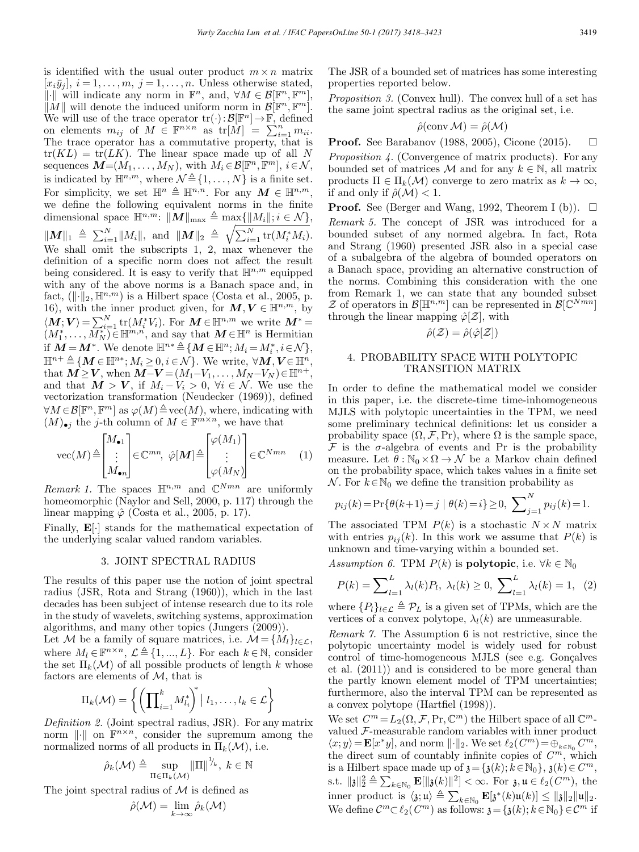is identified with the usual outer product  $m \times n$  matrix  $[x_i\overline{y}_i], i = 1,\ldots,m, j = 1,\ldots,n.$  Unless otherwise stated,  $\|\cdot\|$  will indicate any norm in  $\mathbb{F}^n$ , and,  $\forall M \in \mathcal{B}[\mathbb{F}^n, \mathbb{F}^m]$ ,  $\|\tilde{M}\|$  will denote the induced uniform norm in  $\mathcal{B}[\mathbb{F}^n,\mathbb{F}^m]$ . We will use of the trace operator  $tr(\cdot):B[\mathbb{F}^n] \to \mathbb{F}$ , defined on elements  $m_{ij}$  of  $M \in \mathbb{F}^{n \times n}$  as  $tr[M] = \sum_{i=1}^{n} m_{ii}$ . The trace operator has a commutative property, that is  $tr(KL) = tr(LK)$ . The linear space made up of all N sequences  $\mathbf{M}=(M_1,\ldots,M_N)$ , with  $M_i \in \mathcal{B}[\mathbb{F}^n,\mathbb{F}^m], i \in \mathcal{N}$ , is indicated by  $\mathbb{H}^{n,m}$ , where  $\mathcal{N} \triangleq \{1,\ldots,N\}$  is a finite set. For simplicity, we set  $\mathbb{H}^n \triangleq \mathbb{H}^{n,n}$ . For any  $M \in \mathbb{H}^{n,m}$ , we define the following equivalent norms in the finite dimensional space  $\mathbb{H}^{n,m}$ :  $\|\mathbf{M}\|_{\text{max}} \triangleq \max\{\|M_i\|; i \in \mathcal{N}\},\$  $||M||_1 \triangleq \sum_{i=1}^N ||M_i||$ , and  $||M||_2 \triangleq \sqrt{\sum_{i=1}^N \text{tr}(M_i^*M_i)}$ . We shall omit the subscripts 1, 2, max whenever the definition of a specific norm does not affect the result being considered. It is easy to verify that  $\mathbb{H}^{n,m}$  equipped with any of the above norms is a Banach space and, in fact,  $(\lVert \cdot \rVert_2, \mathbb{H}^{n,m})$  is a Hilbert space (Costa et al., 2005, p. 16), with the inner product given, for  $M, V \in \mathbb{H}^{n,m}$ , by  $\langle \mathbf{M}; \mathbf{V} \rangle = \sum_{i=1}^{N} \text{tr}(M_i^* V_i)$ . For  $\mathbf{M} \in \mathbb{H}^{n,m}$  we write  $\mathbf{M}^* = (M_1^*, \dots, M_N^*) \in \mathbb{H}^{m,n}$ , and say that  $\mathbf{M} \in \mathbb{H}^n$  is Hermitian if  $M = M^*$ . We denote  $\mathbb{H}^{n*} \triangleq \{ M \in \mathbb{H}^n; M_i = M_i^*, i \in \mathcal{N} \},$  $\mathbb{H}^{n+\triangleq}\left\{\mathbf{M}\in\mathbb{H}^{n*};M_{i}\geq0,i\in\mathcal{N}\right\}$ . We write,  $\forall\mathbf{M},\mathbf{V}\in\mathbb{H}^{n}$ , that  $\mathbf{M} \geq \mathbf{V}$ , when  $\mathbf{M} - \mathbf{V} = (M_1 - V_1, \ldots, M_N - V_N) \in \mathbb{H}^{n+}$ , and that  $M > V$ , if  $M_i - V_i > 0$ ,  $\forall i \in \mathcal{N}$ . We use the vectorization transformation (Neudecker (1969)), defined  $\forall M \in \mathcal{B}[\mathbb{F}^n, \mathbb{F}^m]$  as  $\varphi(M) \triangleq \text{vec}(M)$ , where, indicating with  $(M)_{\bullet i}$  the j-th column of  $M \in \mathbb{F}^{m \times n}$ , we have that

$$
\text{vec}(M) \triangleq \begin{bmatrix} M_{\bullet 1} \\ \vdots \\ M_{\bullet n} \end{bmatrix} \in \mathbb{C}^{mn}, \ \hat{\varphi}[M] \triangleq \begin{bmatrix} \varphi(M_1) \\ \vdots \\ \varphi(M_N) \end{bmatrix} \in \mathbb{C}^{Nmn} \quad (1)
$$

Remark 1. The spaces  $\mathbb{H}^{n,m}$  and  $\mathbb{C}^{Nmn}$  are uniformly homeomorphic (Naylor and Sell, 2000, p. 117) through the linear mapping  $\hat{\varphi}$  (Costa et al., 2005, p. 17).

Finally,  $\mathbf{E}[\cdot]$  stands for the mathematical expectation of the underlying scalar valued random variables.

#### 3. JOINT SPECTRAL RADIUS

The results of this paper use the notion of joint spectral radius (JSR, Rota and Strang (1960)), which in the last decades has been subject of intense research due to its role in the study of wavelets, switching systems, approximation algorithms, and many other topics (Jungers (2009)).

Let M be a family of square matrices, i.e.  $\mathcal{M} = \{M_l\}_{l \in \mathcal{L}}$ , where  $M_l \in \mathbb{F}^{n \times n}$ ,  $\mathcal{L} \triangleq \{1, ..., L\}$ . For each  $k \in \mathbb{N}$ , consider the set  $\Pi_k(\mathcal{M})$  of all possible products of length k whose factors are elements of  $M$ , that is

$$
\Pi_k(\mathcal{M}) = \left\{ \left( \prod_{i=1}^k M_{l_i}^* \right)^* | l_1, \ldots, l_k \in \mathcal{L} \right\}
$$

Definition 2. (Joint spectral radius, JSR). For any matrix norm  $\|\cdot\|$  on  $\mathbb{F}^{n\times n}$ , consider the supremum among the normalized norms of all products in  $\Pi_k(\mathcal{M})$ , i.e.

$$
\hat{\rho}_k(\mathcal{M}) \triangleq \sup_{\Pi \in \Pi_k(\mathcal{M})} {\|\Pi\|}^{\frac{1}{k}}, \ k \in \mathbb{N}
$$

The joint spectral radius of  $M$  is defined as

$$
\hat{\rho}(\mathcal{M}) = \lim_{k \to \infty} \hat{\rho}_k(\mathcal{M})
$$

The JSR of a bounded set of matrices has some interesting properties reported below.

Proposition 3. (Convex hull). The convex hull of a set has the same joint spectral radius as the original set, i.e.

$$
\hat{\rho}(\mathrm{conv}\,\mathcal{M})=\hat{\rho}(\mathcal{M})
$$

**Proof.** See Barabanov (1988, 2005), Cicone (2015).  $\Box$ 

Proposition 4. (Convergence of matrix products). For any bounded set of matrices  $M$  and for any  $k \in \mathbb{N}$ , all matrix products  $\Pi \in \Pi_k(\mathcal{M})$  converge to zero matrix as  $k \to \infty$ , if and only if  $\hat{\rho}(\mathcal{M}) < 1$ .

**Proof.** See (Berger and Wang, 1992, Theorem I (b)).  $\Box$ Remark 5. The concept of JSR was introduced for a bounded subset of any normed algebra. In fact, Rota and Strang (1960) presented JSR also in a special case of a subalgebra of the algebra of bounded operators on a Banach space, providing an alternative construction of the norms. Combining this consideration with the one from Remark 1, we can state that any bounded subset  $\mathcal Z$  of operators in  $\mathcal B[\mathbb{H}^{n,m}]$  can be represented in  $\mathcal B[\mathbb{C}^{Nmn}]$ through the linear mapping  $\hat{\varphi}[\mathcal{Z}]$ , with

$$
\hat{\rho}(\mathcal{Z}) = \hat{\rho}(\hat{\varphi}[\mathcal{Z}])
$$

### 4. PROBABILITY SPACE WITH POLYTOPIC TRANSITION MATRIX

In order to define the mathematical model we consider in this paper, i.e. the discrete-time time-inhomogeneous MJLS with polytopic uncertainties in the TPM, we need some preliminary technical definitions: let us consider a probability space  $(\Omega, \mathcal{F}, Pr)$ , where  $\Omega$  is the sample space,  $\mathcal F$  is the  $\sigma$ -algebra of events and Pr is the probability measure. Let  $\hat{\theta}: \mathbb{N}_0 \times \Omega \to \mathcal{N}$  be a Markov chain defined on the probability space, which takes values in a finite set  $\mathcal N$ . For  $k \in \mathbb N_0$  we define the transition probability as

$$
p_{ij}(k) = Pr{\theta(k+1) = j | \theta(k) = i} \ge 0, \sum_{j=1}^{N} p_{ij}(k) = 1.
$$

The associated TPM  $P(k)$  is a stochastic  $N \times N$  matrix with entries  $p_{ij}(k)$ . In this work we assume that  $P(k)$  is unknown and time-varying within a bounded set.

Assumption 6. TPM  $P(k)$  is **polytopic**, i.e.  $\forall k \in \mathbb{N}_0$ 

$$
P(k) = \sum_{l=1}^{L} \lambda_l(k) P_l, \ \lambda_l(k) \ge 0, \ \sum_{l=1}^{L} \lambda_l(k) = 1, \ \ (2)
$$

where  $\{P_l\}_{l \in \mathcal{L}} \triangleq \mathcal{P}_L$  is a given set of TPMs, which are the vertices of a convex polytope,  $\lambda_l(k)$  are unmeasurable.

Remark 7. The Assumption 6 is not restrictive, since the polytopic uncertainty model is widely used for robust control of time-homogeneous MJLS (see e.g. Gonçalves et al. (2011)) and is considered to be more general than the partly known element model of TPM uncertainties; furthermore, also the interval TPM can be represented as a convex polytope (Hartfiel (1998)).

We set  $C^m = L_2(\Omega, \mathcal{F}, \Pr, \mathbb{C}^m)$  the Hilbert space of all  $\mathbb{C}^m$ valued  $\mathcal F\text{-}$  measurable random variables with inner product  $\langle x; y \rangle = \mathbf{E}[x^*y]$ , and norm  $\lVert \cdot \rVert_2$ . We set  $\ell_2(C^m) = \bigoplus_{k \in \mathbb{N}_0} C^m$ , the direct sum of countably infinite copies of  $C<sup>m</sup>$ , which is a Hilbert space made up of  $\mathfrak{z} = {\mathfrak{z}(k); k \in \mathbb{N}_0}$ ,  $\mathfrak{z}(k) \in C^m$ , s.t.  $\| \mathfrak{z} \|_2^2 \triangleq \sum_{k \in \mathbb{N}_0} \mathbf{E}[\| \mathfrak{z}(k)\|^2] < \infty$ . For  $\mathfrak{z}, \mathfrak{u} \in \ell_2(C^m)$ , the inner product is  $\langle \mathbf{s}; \mathbf{u} \rangle \triangleq \sum_{k \in \mathbb{N}_0} \mathbf{E}[\mathbf{s}^*(k)\mathbf{u}(k)] \leq ||\mathbf{s}||_2 ||\mathbf{u}||_2.$ We define  $\mathcal{C}^m \subset \ell_2(\mathcal{C}^m)$  as follows:  $\mathfrak{z} = {\mathfrak{z}(k)}; k \in \mathbb{N}_0$   $\in \mathcal{C}^m$  if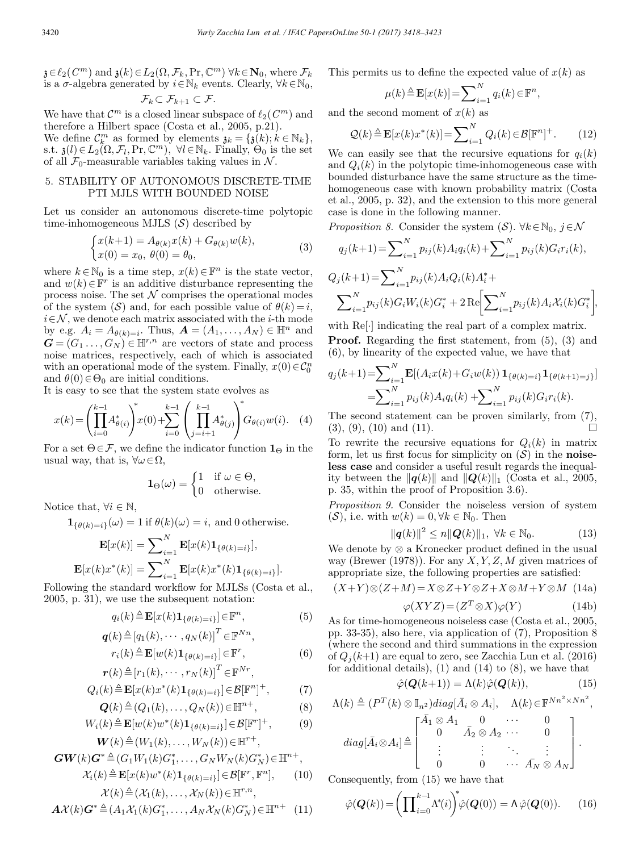$\mathfrak{z} \in \ell_2(C^m)$  and  $\mathfrak{z}(k) \in L_2(\Omega, \mathcal{F}_k, \Pr, \mathbb{C}^m)$   $\forall k \in \mathbb{N}_0$ , where  $\mathcal{F}_k$ is a  $\sigma$ -algebra generated by  $i \in \mathbb{N}_k$  events. Clearly,  $\forall k \in \mathbb{N}_0$ ,

$$
\mathcal{F}_k \subset \mathcal{F}_{k+1} \subset \mathcal{F}.
$$

We have that  $\mathcal{C}^m$  is a closed linear subspace of  $\ell_2(\mathcal{C}^m)$  and therefore a Hilbert space (Costa et al., 2005, p.21).

We define  $\mathcal{C}_k^m$  as formed by elements  $\mathfrak{z}_k = {\mathfrak{z}(k)}$ ;  $k \in \mathbb{N}_k$ , s.t.  $\mathfrak{z}(l) \in L_2(\Omega, \mathcal{F}_l, \Pr, \mathbb{C}^m)$ ,  $\forall l \in \mathbb{N}_k$ . Finally,  $\Theta_0$  is the set of all  $\mathcal{F}_0$ -measurable variables taking values in N.

#### 5. STABILITY OF AUTONOMOUS DISCRETE-TIME PTI MJLS WITH BOUNDED NOISE

Let us consider an autonomous discrete-time polytopic time-inhomogeneous MJLS  $(S)$  described by

$$
\begin{cases} x(k+1) = A_{\theta(k)}x(k) + G_{\theta(k)}w(k), \\ x(0) = x_0, \ \theta(0) = \theta_0, \end{cases}
$$
 (3)

where  $k \in \mathbb{N}_0$  is a time step,  $x(k) \in \mathbb{F}^n$  is the state vector, and  $w(k) \in \mathbb{F}^r$  is an additive disturbance representing the process noise. The set  $N$  comprises the operational modes of the system  $(S)$  and, for each possible value of  $\theta(k) = i$ ,  $i\!\in\!\mathcal{N},$  we denote each matrix associated with the  $i\text{-th}$  mode by e.g.  $A_i = A_{\theta(k)=i}$ . Thus,  $\mathbf{A} = (A_1, \ldots, A_N) \in \mathbb{H}^n$  and  $\mathbf{G} = (G_1 \ldots, G_N) \in \mathbb{H}^{r,n}$  are vectors of state and process noise matrices, respectively, each of which is associated with an operational mode of the system. Finally,  $x(0) \in C_0^n$ and  $\theta(0) \in \Theta_0$  are initial conditions.

It is easy to see that the system state evolves as

$$
x(k) = \left(\prod_{i=0}^{k-1} A_{\theta(i)}^*\right)^* x(0) + \sum_{i=0}^{k-1} \left(\prod_{j=i+1}^{k-1} A_{\theta(j)}^*\right)^* G_{\theta(i)} w(i). \quad (4)
$$

For a set  $\Theta \in \mathcal{F}$ , we define the indicator function  $\mathbf{1}_{\Theta}$  in the usual way, that is,  $\forall \omega \in \Omega$ ,

$$
\mathbf{1}_{\Theta}(\omega) = \begin{cases} 1 & \text{if } \omega \in \Theta, \\ 0 & \text{otherwise.} \end{cases}
$$

Notice that,  $\forall i \in \mathbb{N}$ ,

$$
\mathbf{1}_{\{\theta(k)=i\}}(\omega) = 1 \text{ if } \theta(k)(\omega) = i, \text{ and } 0 \text{ otherwise.}
$$

$$
\mathbf{E}[x(k)] = \sum_{i}^{N} \mathbf{E}[x(k)\mathbf{1}_{\{\theta(k)=i\}}],
$$

$$
\mathbf{E}[x(k)x^*(k)] = \sum_{i=1}^N \mathbf{E}[x(k)x^*(k)\mathbf{1}_{\{\theta(k)=i\}}],
$$
  

$$
\mathbf{E}[x(k)x^*(k)] = \sum_{i=1}^N \mathbf{E}[x(k)x^*(k)\mathbf{1}_{\{\theta(k)=i\}}].
$$

Following the standard workflow for MJLSs (Costa et al., 2005, p. 31), we use the subsequent notation:

$$
q_i(k) \triangleq \mathbf{E}[x(k)\mathbf{1}_{\{\theta(k)=i\}}] \in \mathbb{F}^n,\tag{5}
$$

$$
\boldsymbol{q}(k) \triangleq [q_1(k), \cdots, q_N(k)]^T \in \mathbb{F}^{Nn},
$$

$$
r_i(k) \triangleq \mathbf{E}[w(k)\mathbf{1}_{\{\theta(k)=i\}}] \in \mathbb{F}^r,
$$
  

$$
\mathbf{r}(k) \triangleq [r_1(k), \cdots, r_N(k)]^T \in \mathbb{F}^{Nr},
$$
 (6)

$$
Q_i(k) \triangleq \mathbf{E}[x(k)x^*(k)\mathbf{1}_{\{\theta(k)=i\}}] \in \mathcal{B}[\mathbb{F}^n]^+, \tag{7}
$$

$$
\mathbf{Q}(k) \triangleq (Q_1(k), \dots, Q_N(k)) \in \mathbb{H}^{n+},
$$
\n(8)

$$
W_i(k) \triangleq \mathbf{E}[w(k)w^*(k)\mathbf{1}_{\{\theta(k)=i\}}] \in \mathcal{B}[\mathbb{F}^r]^+, \tag{9}
$$

$$
\mathbf{W}(k) \triangleq (W_1(k), \dots, W_N(k)) \in \mathbb{H}^{r+},
$$
  
\n
$$
\mathbf{CW}(k) \mathbf{C}^* \triangleq (C_1 W_1(k) \mathbf{C}^* - C_2 W_2(k) \mathbf{C}^*) \subset \mathbb{H}^r
$$

$$
GW(k)G^* \triangleq (G_1W_1(k)G_1^*,\ldots,G_NW_N(k)G_N^*) \in \mathbb{H}^{n+},
$$
  

$$
\mathcal{X}_i(k) \triangleq \mathbf{E}[x(k)w^*(k)\mathbf{1}_{\{\theta(k)=i\}}] \in \mathcal{B}[\mathbb{F}^r,\mathbb{F}^n], \qquad (10)
$$

$$
\mathcal{X}(k) \triangleq (\mathcal{X}_1(k), \dots, \mathcal{X}_N(k)) \in \mathbb{H}^{r,n},
$$
  

$$
\mathbf{A}\mathcal{X}(k)\mathbf{G}^* \triangleq (A_1\mathcal{X}_1(k)\mathbf{G}_1^*, \dots, A_N\mathcal{X}_N(k)\mathbf{G}_N^*) \in \mathbb{H}^{n+}
$$
 (11)

This permits us to define the expected value of 
$$
x(k)
$$
 as

$$
\mu(k) \triangleq \mathbf{E}[x(k)] = \sum_{i=1}^{N} q_i(k) \in \mathbb{F}^n,
$$

and the second moment of  $x(k)$  as

$$
\mathcal{Q}(k) \triangleq \mathbf{E}[x(k)x^*(k)] = \sum_{i=1}^N Q_i(k) \in \mathcal{B}[\mathbb{F}^n]^+. \qquad (12)
$$

We can easily see that the recursive equations for  $q_i(k)$ and  $Q_i(k)$  in the polytopic time-inhomogeneous case with bounded disturbance have the same structure as the timehomogeneous case with known probability matrix (Costa et al., 2005, p. 32), and the extension to this more general case is done in the following manner.

*Proposition 8.* Consider the system 
$$
(\mathcal{S})
$$
.  $\forall k \in \mathbb{N}_0, j \in \mathcal{N}$ 

$$
q_j(k+1) = \sum_{i=1}^{N} p_{ij}(k) A_i q_i(k) + \sum_{i=1}^{N} p_{ij}(k) G_i r_i(k),
$$
  
\n
$$
Q_j(k+1) = \sum_{i=1}^{N} p_{ij}(k) A_i Q_i(k) A_i^* +
$$
  
\n
$$
\sum_{i=1}^{N} p_{ij}(k) G_i W_i(k) G_i^* + 2 \text{Re} \Biggl[ \sum_{i=1}^{N} p_{ij}(k) A_i X_i(k) G_i^* \Biggr],
$$

with Re[·] indicating the real part of a complex matrix. Proof. Regarding the first statement, from (5), (3) and (6), by linearity of the expected value, we have that

$$
q_j(k+1) = \sum_{i=1}^{N} \mathbf{E}[(A_i x(k) + G_i w(k)) \mathbf{1}_{\{\theta(k)=i\}} \mathbf{1}_{\{\theta(k+1)=j\}}]
$$

$$
= \sum_{i=1}^{N} p_{ij}(k) A_i q_i(k) + \sum_{i=1}^{N} p_{ij}(k) G_i r_i(k).
$$

The second statement can be proven similarly, from (7),  $(3), (9), (10)$  and  $(11)$ .

To rewrite the recursive equations for  $Q_i(k)$  in matrix form, let us first focus for simplicity on  $(S)$  in the noiseless case and consider a useful result regards the inequality between the  $\|\boldsymbol{q}(k)\|$  and  $\|\boldsymbol{Q}(k)\|_1$  (Costa et al., 2005, p. 35, within the proof of Proposition 3.6).

Proposition 9. Consider the noiseless version of system  $(S)$ , i.e. with  $w(k)=0, \forall k \in \mathbb{N}_0$ . Then

$$
\|\mathbf{q}(k)\|^2 \le n \|\mathbf{Q}(k)\|_1, \ \forall k \in \mathbb{N}_0. \tag{13}
$$

We denote by ⊗ a Kronecker product defined in the usual way (Brewer (1978)). For any  $X, Y, Z, M$  given matrices of appropriate size, the following properties are satisfied:

$$
(X+Y)\otimes(Z+M) = X\otimes Z + Y\otimes Z + X\otimes M + Y\otimes M \quad (14a)
$$

$$
\varphi(XYZ) = (Z^T \otimes X)\varphi(Y) \tag{14b}
$$

As for time-homogeneous noiseless case (Costa et al., 2005, pp. 33-35), also here, via application of (7), Proposition 8 (where the second and third summations in the expression of  $Q_i(k+1)$  are equal to zero, see Zacchia Lun et al. (2016) for additional details),  $(1)$  and  $(14)$  to  $(8)$ , we have that

$$
\hat{\varphi}(\mathbf{Q}(k+1)) = \Lambda(k)\hat{\varphi}(\mathbf{Q}(k)),\tag{15}
$$

$$
\Lambda(k) \triangleq (P^T(k) \otimes \mathbb{I}_{n^2}) diag[\bar{A}_i \otimes A_i], \quad \Lambda(k) \in \mathbb{F}^{Nn^2 \times Nn^2},
$$

$$
\begin{bmatrix} \bar{A}_1 \otimes A_1 & 0 & \cdots & 0 \\ 0 & \cdots & 0 & 0 \end{bmatrix}
$$

$$
diag[\bar{A}_i \otimes A_i] \triangleq \left[\begin{array}{cccc} 0 & \bar{A}_2 \otimes A_2 & \cdots & 0 \\ 0 & \bar{A}_2 \otimes A_2 & \cdots & 0 \\ \vdots & \vdots & \ddots & \vdots \\ 0 & 0 & \cdots & \bar{A}_N \otimes A_N \end{array}\right].
$$

Consequently, from (15) we have that

$$
\hat{\varphi}(\boldsymbol{Q}(k)) = \left(\prod_{i=0}^{k-1} \Lambda^*(i)\right)^* \hat{\varphi}(\boldsymbol{Q}(0)) = \Lambda \hat{\varphi}(\boldsymbol{Q}(0)). \tag{16}
$$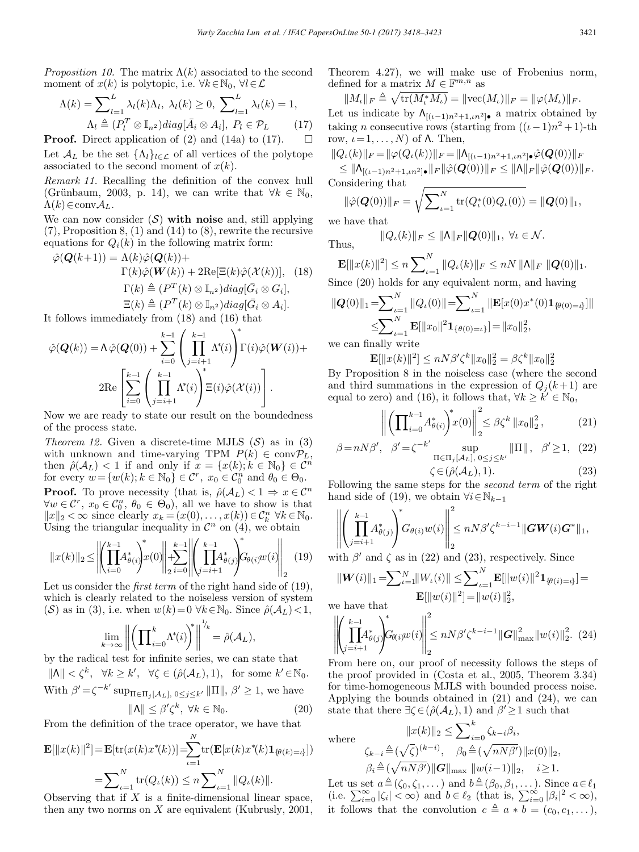*Proposition 10.* The matrix  $\Lambda(k)$  associated to the second moment of  $x(k)$  is polytopic, i.e.  $\forall k \in \mathbb{N}_0$ ,  $\forall l \in \mathcal{L}$ 

$$
\Lambda(k) = \sum_{l=1}^{L} \lambda_l(k) \Lambda_l, \ \lambda_l(k) \ge 0, \ \sum_{l=1}^{L} \lambda_l(k) = 1, \n\Lambda_l \triangleq (P_l^T \otimes \mathbb{I}_{n^2}) diag[\bar{A}_i \otimes A_i], \ P_l \in \mathcal{P}_L \tag{17}
$$

**Proof.** Direct application of (2) and (14a) to (17).  $\Box$ Let  $\mathcal{A}_L$  be the set  $\{\Lambda_l\}_{l\in\mathcal{L}}$  of all vertices of the polytope associated to the second moment of  $x(k)$ .

Remark 11. Recalling the definition of the convex hull (Grünbaum, 2003, p. 14), we can write that  $\forall k \in \mathbb{N}_0$ ,  $\Lambda(k) \in \text{conv} A_L$ .

We can now consider  $(S)$  with noise and, still applying  $(7)$ , Proposition 8,  $(1)$  and  $(14)$  to  $(8)$ , rewrite the recursive equations for  $Q_i(k)$  in the following matrix form:

$$
\hat{\varphi}(\mathbf{Q}(k+1)) = \Lambda(k)\hat{\varphi}(\mathbf{Q}(k)) + \Gamma(k)\hat{\varphi}(\mathbf{W}(k)) + 2\text{Re}[\Xi(k)\hat{\varphi}(\mathcal{X}(k))], \quad (18)
$$

$$
\Gamma(k) \triangleq (P^T(k) \otimes \mathbb{I}_{n^2})diag[\bar{G}_i \otimes G_i],
$$

$$
\Xi(k) \triangleq (P^T(k) \otimes \mathbb{I}_{n^2})diag[\bar{G}_i \otimes A_i].
$$

It follows immediately from (18) and (16) that

$$
\hat{\varphi}(\mathbf{Q}(k)) = \Lambda \hat{\varphi}(\mathbf{Q}(0)) + \sum_{i=0}^{k-1} \left( \prod_{j=i+1}^{k-1} \Lambda^*(i) \right)^* \Gamma(i) \hat{\varphi}(\mathbf{W}(i)) +
$$
  
2Re  $\left[ \sum_{i=0}^{k-1} \left( \prod_{j=i+1}^{k-1} \Lambda^*(i) \right)^* \Xi(i) \hat{\varphi}(\mathcal{X}(i)) \right].$ 

Now we are ready to state our result on the boundedness of the process state.

*Theorem 12.* Given a discrete-time MJLS  $(S)$  as in  $(3)$ with unknown and time-varying TPM  $P(k) \in \text{convP}_L$ , then  $\hat{\rho}(\mathcal{A}_L) < 1$  if and only if  $x = \{x(k); k \in \mathbb{N}_0\} \in \mathcal{C}^n$ for every  $w = \{w(k); k \in \mathbb{N}_0\} \in \mathcal{C}^r$ ,  $x_0 \in \mathcal{C}_0^n$  and  $\theta_0 \in \Theta_0$ . **Proof.** To prove necessity (that is,  $\hat{\rho}(\mathcal{A}_L) < 1 \Rightarrow x \in \mathcal{C}^n$  $\forall w \in \mathcal{C}^r, x_0 \in \mathcal{C}_0^n, \theta_0 \in \Theta_0$ , all we have to show is that  $||x||_2 < \infty$  since clearly  $x_k = (x(0), \ldots, x(k)) \in C_k^n \,\,\forall k \in \mathbb{N}_0$ . Using the triangular inequality in  $\mathcal{C}^n$  on  $(4)$ , we obtain

$$
||x(k)||_2 \le \left\| \left( \prod_{i=0}^{k-1} A_{\theta(i)}^* \right) x(0) \right\|_2 \le \left\| \left( \prod_{j=i+1}^{k-1} A_{\theta(j)}^* \right) G_{\theta(i)} w(i) \right\|_2 \tag{19}
$$

Let us consider the *first term* of the right hand side of (19), which is clearly related to the noiseless version of system (S) as in (3), i.e. when  $w(k)=0 \ \forall k \in \mathbb{N}_0$ . Since  $\hat{\rho}(\mathcal{A}_L) < 1$ ,

$$
\lim_{k \to \infty} \left\| \left( \prod_{i=0}^k \Lambda^*(i) \right)^* \right\|^{1/k} = \hat{\rho}(\mathcal{A}_L),
$$

by the radical test for infinite series, we can state that  $\|\Lambda\| < \zeta^k$ ,  $\forall k \ge k'$ ,  $\forall \zeta \in (\hat{\rho}(\mathcal{A}_L), 1)$ , for some  $k' \in \mathbb{N}_0$ . With  $\beta' = \zeta^{-k'} \sup_{\Pi \in \Pi_j[\mathcal{A}_L], 0 \leq j \leq k'} \|\Pi\|, \beta' \geq 1$ , we have  $\|\Lambda\| \le \beta' \zeta^k, \ \forall k \in \mathbb{N}_0.$  (20)

From the definition of the trace operator, we have that

$$
\mathbf{E}[\|x(k)\|^2] = \mathbf{E}[\text{tr}(x(k)x^*(k))] = \sum_{\iota=1}^N \text{tr}(\mathbf{E}[x(k)x^*(k)\mathbf{1}_{\{\theta(k)=\iota\}}])
$$
  
= 
$$
\sum_{\iota=1}^N \text{tr}(Q_{\iota}(k)) \le n \sum_{\iota=1}^N \|Q_{\iota}(k)\|.
$$

Observing that if  $X$  is a finite-dimensional linear space, then any two norms on  $X$  are equivalent (Kubrusly, 2001, Theorem 4.27), we will make use of Frobenius norm, defined for a matrix  $M \in \mathbb{F}^{m,n}$  as

 $\|M_\iota\|_F \triangleq \sqrt{\text{tr}(M_\iota^*M_\iota)} = \|\text{vec}(M_\iota)\|_F = \|\varphi(M_\iota)\|_F.$ Let us indicate by  $\Lambda_{[(\iota-1)n^2+1,\iota n^2]}$ • a matrix obtained by taking *n* consecutive rows (starting from  $((\iota-1)n^2+1)$ -th row,  $ι = 1, ..., N$ ) of Λ. Then,

$$
\|Q_{\iota}(k)\|_{F} = \|\varphi(Q_{\iota}(k))\|_{F} = \|\Lambda_{[(\iota-1)n^{2}+1, \iota n^{2}]\bullet} \hat{\varphi}(\mathbf{Q}(0))\|_{F}
$$
  
\n
$$
\leq \|\Lambda_{[(\iota-1)n^{2}+1, \iota n^{2}]\bullet}\|_{F} \|\hat{\varphi}(\mathbf{Q}(0))\|_{F} \leq \|\Lambda\|_{F} \|\hat{\varphi}(\mathbf{Q}(0))\|_{F}.
$$
  
\nConsidering that  
\n
$$
\|\hat{\varphi}(\mathbf{Q}(0))\|_{F} = \sqrt{\sum_{i} N_{\text{tr}}(\mathbf{Q}^{*}(0)\mathbf{Q}_{\iota}(0))} = \|\mathbf{Q}(0)\|_{F}.
$$

$$
\|\hat{\varphi}(\mathbf{Q}(0))\|_{F} = \sqrt{\sum_{\iota=1}^{\infty} tr(Q_{\iota}^{*}(0)Q_{\iota}(0))} = \|\mathbf{Q}(0)\|_{1},
$$

we have that

Thus, 
$$
||Q_{\iota}(k)||_F \le ||\mathsf{\Lambda}||_F ||Q(0)||_1, \ \forall \iota \in \mathcal{N}.
$$

$$
\mathbf{E}[\|x(k)\|^2] \le n \sum_{\iota=1}^N \|Q_\iota(k)\|_F \le nN \|\Lambda\|_F \|\mathbf{Q}(0)\|_1.
$$
  
Since (20) holds for any equivalent norm and having

Since (20) holds for any equivalent norm, and having

$$
\|Q(0)\|_{1} = \sum_{\iota=1}^{N} \|Q_{\iota}(0)\| = \sum_{\iota=1}^{N} \|\mathbf{E}[x(0)x^{*}(0)\mathbf{1}_{\{\theta(0)=\iota\}}]\|
$$
  
\$\leq\$  $\sum_{\iota=1}^{N} \mathbf{E}[\|x_{0}\|^{2}\mathbf{1}_{\{\theta(0)=\iota\}}] = \|x_{0}\|_{2}^{2},$   
\$\leq\$  $\sup$  finally write

we can finally write

$$
\mathbf{E}[\|x(k)\|^2] \le nN\beta'\zeta^k \|x_0\|_2^2 = \beta\zeta^k \|x_0\|_2^2
$$

By Proposition 8 in the noiseless case (where the second and third summations in the expression of  $Q_i(k+1)$  are equal to zero) and (16), it follows that,  $\forall k \geq \overline{k}' \in \mathbb{N}_0$ ,

$$
\left\| \left( \prod_{i=0}^{k-1} A_{\theta(i)}^* \right)^* x(0) \right\|_2^2 \le \beta \zeta^k \left\| x_0 \right\|_2^2, \tag{21}
$$

$$
\beta = nN\beta', \quad \beta' = \zeta^{-k'} \sup_{\Pi \in \Pi_j[\mathcal{A}_L], 0 \le j \le k'} \|\Pi\|, \quad \beta' \ge 1, \tag{22}
$$

$$
\zeta \in (\hat{\rho}(\mathcal{A}_L), 1). \tag{23}
$$

Following the same steps for the second term of the right hand side of (19), we obtain  $\forall i \in \mathbb{N}_{k-1}$ 

$$
\left\| \left( \prod_{j=i+1}^{k-1} A_{\theta(j)}^* \right)^* G_{\theta(i)} w(i) \right\|_2^2 \leq n N \beta' \zeta^{k-i-1} \|GW(i)G^* \|_1,
$$

with  $\beta'$  and  $\zeta$  as in (22) and (23), respectively. Since

$$
||\mathbf{W}(i)||_1 = \sum_{\iota=1}^N ||W_{\iota}(i)|| \le \sum_{\iota=1}^N \mathbf{E}[||w(i)||^2 \mathbf{1}_{\{\theta(i)=i\}}] =
$$
  
Eq. (a) have that

we have that

$$
\left\| \left( \prod_{j=i+1}^{k-1} A_{\theta(j)}^* \right) G_{\theta(i)} w(i) \right\|_2^2 \leq n N \beta' \zeta^{k-i-1} \|G\|_{\max}^2 \|w(i)\|_2^2. (24)
$$

From here on, our proof of necessity follows the steps of the proof provided in (Costa et al., 2005, Theorem 3.34) for time-homogeneous MJLS with bounded process noise. Applying the bounds obtained in (21) and (24), we can state that there  $\exists \zeta \in (\hat{\rho}(\mathcal{A}_L), 1)$  and  $\beta' \geq 1$  such that

where  
\n
$$
||x(k)||_2 \le \sum_{i=0}^k \zeta_{k-i} \beta_i,
$$
\n
$$
\zeta_{k-i} \triangleq (\sqrt{\zeta})^{(k-i)}, \quad \beta_0 \triangleq (\sqrt{nN\beta'}) ||x(0)||_2,
$$
\n
$$
\beta_i \triangleq (\sqrt{nN\beta'}) ||G||_{\text{max}} ||w(i-1)||_2, \quad i \ge 1.
$$

Let us set  $a \triangleq (\zeta_0, \zeta_1, \dots)$  and  $b \triangleq (\beta_0, \beta_1, \dots)$ . Since  $a \in \ell_1$ <br>(i.e.  $\sum_{i=0}^{\infty} |\zeta_i| < \infty$ ) and  $b \in \ell_2$  (that is,  $\sum_{i=0}^{\infty} |\beta_i|^2 < \infty$ ), it follows that the convolution  $c \triangleq a * b = (c_0, c_1, \dots),$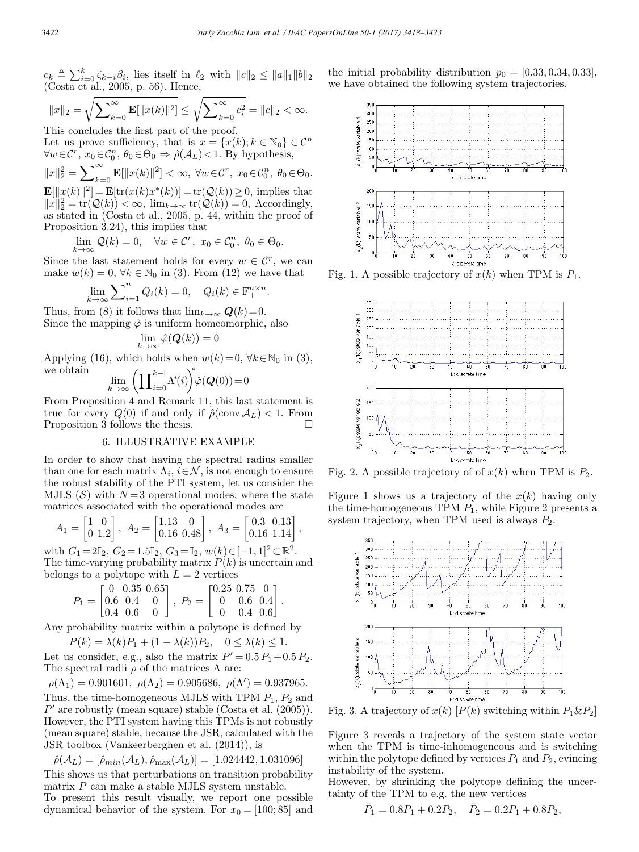$c_k \triangleq \sum_{i=0}^k \zeta_{k-i} \beta_i$ , lies itself in  $\ell_2$  with  $||c||_2 \le ||a||_1 ||b||_2$ (Costa et al., 2005, p. 56). Hence,

$$
||x||_2 = \sqrt{\sum_{k=0}^{\infty} \mathbf{E}[\|x(k)\|^2]} \le \sqrt{\sum_{k=0}^{\infty} c_i^2} = ||c||_2 < \infty.
$$

This concludes the first part of the proof. Let us prove sufficiency, that is  $x = \{x(k); k \in \mathbb{N}_0\} \in \mathcal{C}^n$  $\forall w \in \mathcal{C}^r$ ,  $x_0 \in \mathcal{C}_0^n$ ,  $\theta_0 \in \Theta_0 \Rightarrow \hat{\rho}(\mathcal{A}_L) < 1$ . By hypothesis,

$$
||x||_2^2 = \sum_{k=0}^{\infty} \mathbf{E}[\|x(k)\|^2] < \infty, \ \forall w \in \mathcal{C}^r, \ x_0 \in \mathcal{C}_0^n, \ \theta_0 \in \Theta_0.
$$
\n
$$
\mathbf{E}[\|x(k)\|^2] = \mathbf{E}[\text{tr}(x(k)x^*(k))] = \text{tr}(\mathcal{Q}(k)) \ge 0, \text{ implies that}
$$
\n
$$
||x||_2^2 = \text{tr}(\mathcal{Q}(k)) < \infty, \ \lim_{k \to \infty} \text{tr}(\mathcal{Q}(k)) = 0, \ \text{Accordingly, as stated in (Costa et al., 2005, p. 44, within the proof of)}
$$

Proposition 3.24), this implies that  $\lim_{k \to \infty} \mathcal{Q}(k) = 0, \quad \forall w \in \mathcal{C}^r, \ x_0 \in \mathcal{C}_0^n, \ \theta_0 \in \Theta_0.$ 

Since the last statement holds for every  $w \in \mathcal{C}^r$ , we can make  $w(k) = 0$ ,  $\forall k \in \mathbb{N}_0$  in (3). From (12) we have that

$$
\lim_{k \to \infty} \sum_{i=1}^{n} Q_i(k) = 0, \quad Q_i(k) \in \mathbb{F}_+^{n \times n}.
$$

Thus, from (8) it follows that  $\lim_{k\to\infty} Q(k)=0$ . Since the mapping  $\hat{\varphi}$  is uniform homeomorphic, also

$$
\lim_{k \to \infty} \hat{\varphi}(\boldsymbol{Q}(k)) = 0
$$

Applying (16), which holds when  $w(k)=0$ ,  $\forall k\in\mathbb{N}_0$  in (3), we obtain ∗

$$
\lim_{k \to \infty} \left( \prod_{i=0}^{k-1} \Lambda^*(i) \right)^* \hat{\varphi}(\mathbf{Q}(0)) = 0
$$

From Proposition 4 and Remark 11, this last statement is true for every  $Q(0)$  if and only if  $\hat{\rho}(\text{conv}\,\mathcal{A}_L) < 1$ . From<br>Proposition 3 follows the thesis Proposition 3 follows the thesis.

## 6. ILLUSTRATIVE EXAMPLE

In order to show that having the spectral radius smaller than one for each matrix  $\Lambda_i$ ,  $i \in \mathcal{N}$ , is not enough to ensure the robust stability of the PTI system, let us consider the MJLS  $(S)$  with  $N=3$  operational modes, where the state matrices associated with the operational modes are

$$
A_1 = \begin{bmatrix} 1 & 0 \\ 0 & 1.2 \end{bmatrix}, A_2 = \begin{bmatrix} 1.13 & 0 \\ 0.16 & 0.48 \end{bmatrix}, A_3 = \begin{bmatrix} 0.3 & 0.13 \\ 0.16 & 1.14 \end{bmatrix},
$$

with  $G_1 = 2\mathbb{I}_2$ ,  $G_2 = 1.5\mathbb{I}_2$ ,  $G_3 = \mathbb{I}_2$ ,  $w(k) \in [-1, 1]^2 \subset \mathbb{R}^2$ . The time-varying probability matrix  $P(k)$  is uncertain and belongs to a polytope with  $L = 2$  vertices

$$
P_1 = \begin{bmatrix} 0 & 0.35 & 0.65 \\ 0.6 & 0.4 & 0 \\ 0.4 & 0.6 & 0 \end{bmatrix}, \ P_2 = \begin{bmatrix} 0.25 & 0.75 & 0 \\ 0 & 0.6 & 0.4 \\ 0 & 0.4 & 0.6 \end{bmatrix}.
$$

Any probability matrix within a polytope is defined by

$$
P(k) = \lambda(k)P_1 + (1 - \lambda(k))P_2, \quad 0 \le \lambda(k) \le 1.
$$

Let us consider, e.g., also the matrix  $P' = 0.5 P_1 + 0.5 P_2$ . The spectral radii  $\rho$  of the matrices  $\Lambda$  are:

$$
\rho(\Lambda_1) = 0.901601, \ \rho(\Lambda_2) = 0.905686, \ \rho(\Lambda') = 0.937965.
$$

Thus, the time-homogeneous MJLS with TPM  $P_1$ ,  $P_2$  and  $P'$  are robustly (mean square) stable (Costa et al. (2005)). However, the PTI system having this TPMs is not robustly (mean square) stable, because the JSR, calculated with the JSR toolbox (Vankeerberghen et al. (2014)), is

$$
\hat{\rho}(\mathcal{A}_L) = [\hat{\rho}_{min}(\mathcal{A}_L), \hat{\rho}_{max}(\mathcal{A}_L)] = [1.024442, 1.031096]
$$

This shows us that perturbations on transition probability matrix P can make a stable MJLS system unstable.

To present this result visually, we report one possible dynamical behavior of the system. For  $x_0 = [100; 85]$  and





Fig. 1. A possible trajectory of  $x(k)$  when TPM is  $P_1$ .



Fig. 2. A possible trajectory of of  $x(k)$  when TPM is  $P_2$ .

Figure 1 shows us a trajectory of the  $x(k)$  having only the time-homogeneous TPM  $P_1$ , while Figure 2 presents a system trajectory, when TPM used is always  $P_2$ .



Fig. 3. A trajectory of  $x(k)$  [P(k) switching within  $P_1 \& P_2$ ]

Figure 3 reveals a trajectory of the system state vector when the TPM is time-inhomogeneous and is switching within the polytope defined by vertices  $P_1$  and  $P_2$ , evincing instability of the system.

However, by shrinking the polytope defining the uncertainty of the TPM to e.g. the new vertices

$$
\bar{P}_1 = 0.8P_1 + 0.2P_2, \quad \bar{P}_2 = 0.2P_1 + 0.8P_2,
$$